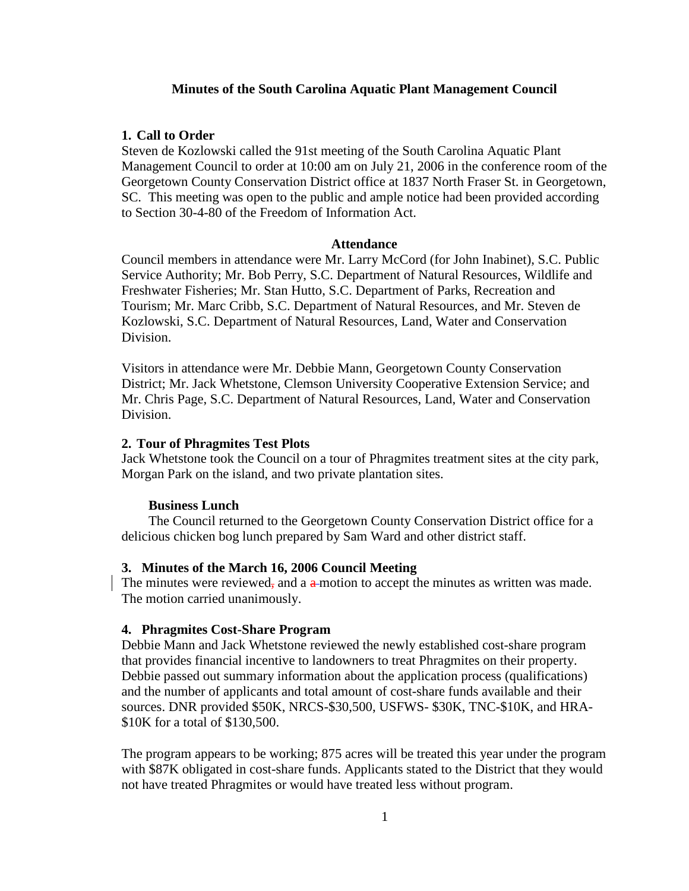### **Minutes of the South Carolina Aquatic Plant Management Council**

## **1. Call to Order**

Steven de Kozlowski called the 91st meeting of the South Carolina Aquatic Plant Management Council to order at 10:00 am on July 21, 2006 in the conference room of the Georgetown County Conservation District office at 1837 North Fraser St. in Georgetown, SC. This meeting was open to the public and ample notice had been provided according to Section 30-4-80 of the Freedom of Information Act.

### **Attendance**

Council members in attendance were Mr. Larry McCord (for John Inabinet), S.C. Public Service Authority; Mr. Bob Perry, S.C. Department of Natural Resources, Wildlife and Freshwater Fisheries; Mr. Stan Hutto, S.C. Department of Parks, Recreation and Tourism; Mr. Marc Cribb, S.C. Department of Natural Resources, and Mr. Steven de Kozlowski, S.C. Department of Natural Resources, Land, Water and Conservation Division.

Visitors in attendance were Mr. Debbie Mann, Georgetown County Conservation District; Mr. Jack Whetstone, Clemson University Cooperative Extension Service; and Mr. Chris Page, S.C. Department of Natural Resources, Land, Water and Conservation Division.

### **2. Tour of Phragmites Test Plots**

Jack Whetstone took the Council on a tour of Phragmites treatment sites at the city park, Morgan Park on the island, and two private plantation sites.

### **Business Lunch**

 The Council returned to the Georgetown County Conservation District office for a delicious chicken bog lunch prepared by Sam Ward and other district staff.

### **3. Minutes of the March 16, 2006 Council Meeting**

The minutes were reviewed, and a  $a$ -motion to accept the minutes as written was made. The motion carried unanimously.

#### **4. Phragmites Cost-Share Program**

Debbie Mann and Jack Whetstone reviewed the newly established cost-share program that provides financial incentive to landowners to treat Phragmites on their property. Debbie passed out summary information about the application process (qualifications) and the number of applicants and total amount of cost-share funds available and their sources. DNR provided \$50K, NRCS-\$30,500, USFWS- \$30K, TNC-\$10K, and HRA- \$10K for a total of \$130,500.

The program appears to be working; 875 acres will be treated this year under the program with \$87K obligated in cost-share funds. Applicants stated to the District that they would not have treated Phragmites or would have treated less without program.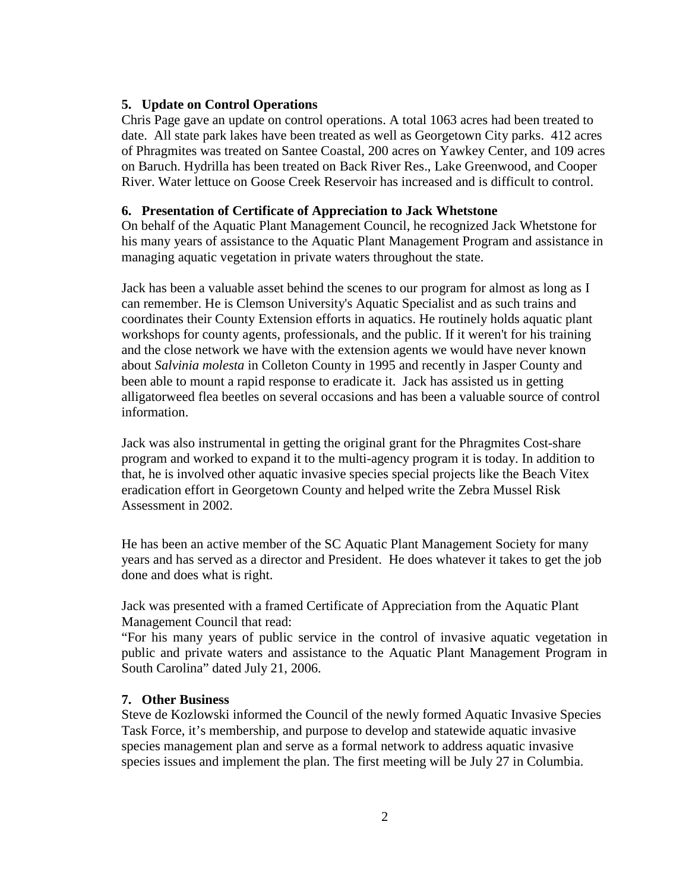# **5. Update on Control Operations**

Chris Page gave an update on control operations. A total 1063 acres had been treated to date. All state park lakes have been treated as well as Georgetown City parks. 412 acres of Phragmites was treated on Santee Coastal, 200 acres on Yawkey Center, and 109 acres on Baruch. Hydrilla has been treated on Back River Res., Lake Greenwood, and Cooper River. Water lettuce on Goose Creek Reservoir has increased and is difficult to control.

# **6. Presentation of Certificate of Appreciation to Jack Whetstone**

On behalf of the Aquatic Plant Management Council, he recognized Jack Whetstone for his many years of assistance to the Aquatic Plant Management Program and assistance in managing aquatic vegetation in private waters throughout the state.

Jack has been a valuable asset behind the scenes to our program for almost as long as I can remember. He is Clemson University's Aquatic Specialist and as such trains and coordinates their County Extension efforts in aquatics. He routinely holds aquatic plant workshops for county agents, professionals, and the public. If it weren't for his training and the close network we have with the extension agents we would have never known about *Salvinia molesta* in Colleton County in 1995 and recently in Jasper County and been able to mount a rapid response to eradicate it. Jack has assisted us in getting alligatorweed flea beetles on several occasions and has been a valuable source of control information.

Jack was also instrumental in getting the original grant for the Phragmites Cost-share program and worked to expand it to the multi-agency program it is today. In addition to that, he is involved other aquatic invasive species special projects like the Beach Vitex eradication effort in Georgetown County and helped write the Zebra Mussel Risk Assessment in 2002.

He has been an active member of the SC Aquatic Plant Management Society for many years and has served as a director and President. He does whatever it takes to get the job done and does what is right.

Jack was presented with a framed Certificate of Appreciation from the Aquatic Plant Management Council that read:

"For his many years of public service in the control of invasive aquatic vegetation in public and private waters and assistance to the Aquatic Plant Management Program in South Carolina" dated July 21, 2006.

### **7. Other Business**

Steve de Kozlowski informed the Council of the newly formed Aquatic Invasive Species Task Force, it's membership, and purpose to develop and statewide aquatic invasive species management plan and serve as a formal network to address aquatic invasive species issues and implement the plan. The first meeting will be July 27 in Columbia.